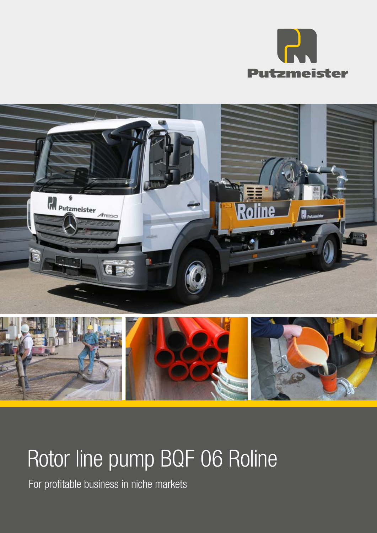



# Rotor line pump BQF 06 Roline

For profitable business in niche markets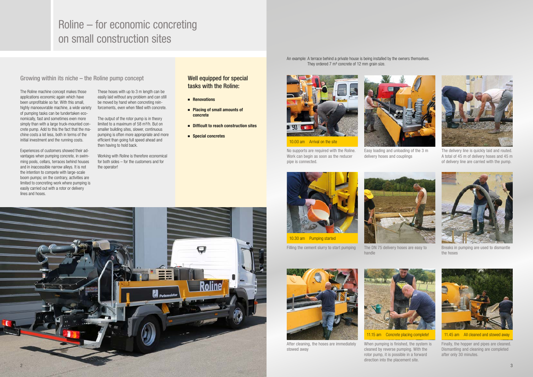## Roline – for economic concreting on small construction sites

### Well equipped for special tasks with the Roline:

- Renovations
- Placing of small amounts of concrete
- Difficult to reach construction sites
- Special concretes

## Growing within its niche – the Roline pump concept

The Roline machine concept makes those applications economic again which have been unprofitable so far. With this small, highly manoeuvrable machine, a wide variety of pumping tasks can be tundertaken economically, fast and sometimes even more simply than with a large truck-mounted concrete pump. Add to this the fact that the machine costs a lot less, both in terms of the initial investment and the running costs.

Experiences of customers showed their advantages when pumping concrete, in swimming pools, cellars, terraces behind houses and in inaccessible narrow alleys. It is not the intention to compete with large-scale boom pumps; on the contrary, activities are limited to concreting work where pumping is easily carried out with a rotor or delivery lines and hoses.



Filling the cement slurry to start pumping The DN 75 delivery hoses are easy to handle

No supports are required with the Roline. Work can begin as soon as the reducer

pipe is connected.

These hoses with up to 3 m length can be easily laid without any problem and can still be moved by hand when concreting reinforcements, even when filled with concrete.

The output of the rotor pump is in theory limited to a maximum of 58 m<sup>3</sup>/h. But on smaller building sites, slower, continuous pumping is often more appropriate and more efficient than going full speed ahead and then having to hold back.

Working with Roline is therefore economical for both sides – for the customers and for the operator!



Easy loading and unloading of the 3 m delivery hoses and couplings



The delivery line is quickly laid and routed. A total of 45 m of delivery hoses and 45 m of delivery line are carried with the pump.



Breaks in pumping are used to dismantle the hoses



After cleaning, the hoses are immediately stowed away









Finally, the hopper and pipes are cleaned. Dismantling and cleaning are completed after only 30 minutes.